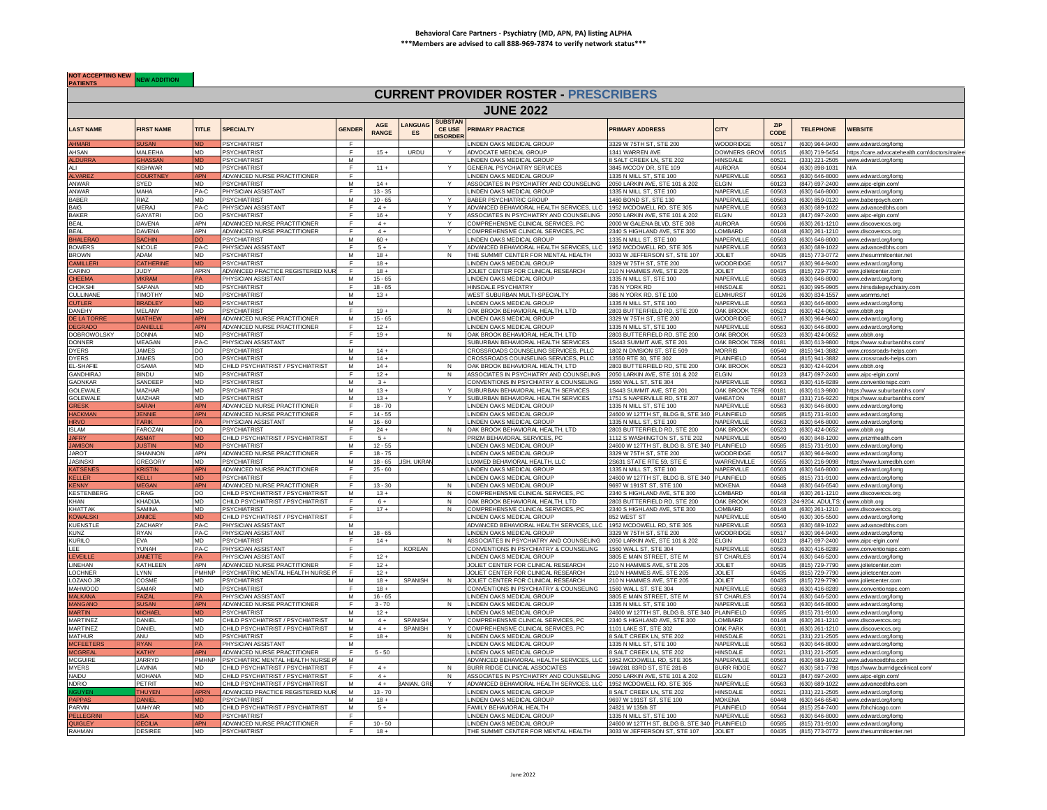## **Behavioral Care Partners - Psychiatry (MD, APN, PA) listing ALPHA \*\*\*Members are advised to call 888-969-7874 to verify network status\*\*\***

**NOT ACCEPTING NEW NEW ADDITION** 

## **CURRENT PROVIDER ROSTER - PRESCRIBERS**

|                                |                                |                        |                                                  |              |                     |                     |                                                    | <b>JUNE 2022</b>                                                                  |                                                            |                                |                    |                                  |                                                                                                    |
|--------------------------------|--------------------------------|------------------------|--------------------------------------------------|--------------|---------------------|---------------------|----------------------------------------------------|-----------------------------------------------------------------------------------|------------------------------------------------------------|--------------------------------|--------------------|----------------------------------|----------------------------------------------------------------------------------------------------|
| LAST NAME                      | <b>FIRST NAME</b>              | <b>TITLE</b>           | <b>SPECIALTY</b>                                 | GENDER       | AGE<br><b>RANGE</b> | <b>ANGUAC</b><br>ES | <b>SUBSTAN</b><br><b>CE USE</b><br><b>DISORDER</b> | <b>PRIMARY PRACTICE</b>                                                           | <b>PRIMARY ADDRESS</b>                                     | <b>CITY</b>                    | <b>ZIP</b><br>CODE | <b>TELEPHONE</b>                 | <b>WEBSITE</b>                                                                                     |
| <b>AHMARI</b>                  | <b>SUSAN</b>                   |                        | <b>PSYCHIATRIST</b>                              | F            |                     |                     |                                                    | LINDEN OAKS MEDICAL GROUP                                                         | 3329 W 75TH ST, STE 200                                    | <b>WOODRIDGE</b>               | 60517              |                                  | (630) 964-9400 www.edward.org/lomg                                                                 |
| AHSAN<br>ALDURRA               | MAI FFHA<br><b>GHASSAN</b>     | MD<br><b>MD</b>        | <b>PSYCHIATRIST</b><br><b>PSYCHIATRIST</b>       | F<br>M       | $15 +$              | URDU                | Y                                                  | ADVOCATE MEDICAL GROUP<br>LINDEN OAKS MEDICAL GROUP                               | 1341 WARREN AVE<br>SALT CREEK LN, STE 202                  | <b>DOWNERS GR</b><br>HINSDAI F | 60515<br>60521     |                                  | (630) 719-5454 https://care.advocatehealth.com/doctors/malee<br>(331) 221-2505 www.edward.org/lomg |
| Al I                           | <b>KISHWAR</b>                 | MD.                    | <b>PSYCHIATRIST</b>                              | E            | $11 +$              |                     |                                                    | <b>GENERAL PSYCHIATRY SERVICES</b>                                                | 845 MCCOY DR, STE 109                                      | <b>NURORA</b>                  | 60504              | (630) 898-1031                   | N/A                                                                                                |
| LVARE                          | :OURTN                         | PN                     | ADVANCED NURSE PRACTITIONER                      |              |                     |                     |                                                    | INDEN OAKS MEDICAL GROUF                                                          | 1335 N MILL ST, STE 100                                    | VAPERVILL                      | 60563              | (630) 646-8000                   | www.edward.org/lomg                                                                                |
| ANWAR                          | SYED                           | <b>MD</b>              | <b>PSYCHIATRIST</b>                              | M            | $14 +$              |                     | $\mathsf{v}$                                       | ASSOCIATES IN PSYCHIATRY AND COUNSELING                                           | 2050 LARKIN AVE, STE 101 & 202                             | <b>ELGIN</b>                   | 60123              | (847) 697-2400                   | www.aipc-elgin.com/                                                                                |
| ANWAR                          | MAHA                           | PA-C                   | PHYSICIAN ASSISTANT                              | $\mathsf F$  | $13 - 35$           |                     |                                                    | INDEN OAKS MEDICAL GROUP                                                          | 1335 N MILL ST. STE 100                                    | NAPFRVII I F                   | 60563              | $(630) 646 - 8000$               | www.edward.org/lomg                                                                                |
| <b>BABER</b>                   | RIAZ                           | <b>MD</b>              | <b>PSYCHIATRIST</b>                              | M            | $10 - 65$           |                     |                                                    | BABER PSYCHIATRIC GROUP                                                           | 1460 BOND ST, STE 130                                      | NAPERVILLE                     | 60563              | (630) 859-0120                   | www.baberpsych.com                                                                                 |
| <b>BAIG</b>                    | MERAJ                          | PA-C                   | PHYSICIAN ASSISTANT                              | F            | $4+$                |                     | $\checkmark$                                       | ADVANCED BEHAVIORAL HEALTH SERVICES, LLC 1952 MCDOWELL RD, STE 305                |                                                            | NAPERVILLE                     | 60563              |                                  | (630) 689-1022 www.advancedbhs.com                                                                 |
| <b>BAKER</b>                   | <b>GAYATRI</b>                 | DO                     | <b>PSYCHIATRIST</b>                              | E            | $16 +$              |                     |                                                    | ASSOCIATES IN PSYCHIATRY AND COUNSELING                                           | 2050 LARKIN AVE, STE 101 & 202                             | ELGIN                          | 60123              |                                  | (847) 697-2400 www.aipc-elgin.com/                                                                 |
| <b>BEAL</b>                    | DAVENA                         | <b>APN</b>             | ADVANCED NURSE PRACTITIONER                      | F            | $4+$                |                     | Y                                                  | COMPREHENSIVE CLINICAL SERVICES, PC                                               | 000 W GALENA BLVD, STE 308                                 | <b>NURORA</b>                  | 60506              | (630) 261-1210                   | www.discoverccs.org                                                                                |
| <b>BEAL</b>                    | DAVENA                         | APN                    | ADVANCED NURSE PRACTITIONER                      | F            | $4+$                |                     |                                                    | COMPREHENSIVE CLINICAL SERVICES, PC                                               | 340 S HIGHLAND AVE, STE 300                                | <b>OMBARD</b>                  | 60148              | (630) 261-1210                   | www.discoverccs.org                                                                                |
| HALER/                         | <b>ACHIN</b>                   |                        | <b>PSYCHIATRIST</b>                              | M            | $60 +$              |                     |                                                    | INDEN OAKS MEDICAL GROUF                                                          | 1335 N MILL ST, STE 100                                    | NAPERVILL                      | 60563              | (630) 646-8000                   | www.edward.org/lomg                                                                                |
| <b>BOWERS</b>                  | <b>NICOLE</b>                  | PA-C                   | PHYSICIAN ASSISTANT                              | $\mathbf{F}$ | $5+$                |                     | $\checkmark$                                       | ADVANCED BEHAVIORAL HEALTH SERVICES, LLC                                          | 1952 MCDOWELL RD, STE 305                                  | NAPERVILLE                     | 60563              | (630) 689-1022                   | ww.advancedbhs.com                                                                                 |
| <b>BROWN</b>                   | ADAM                           | <b>MD</b>              | <b>PSYCHIATRIST</b>                              | M            | $18 +$              |                     | $\mathbf N$                                        | THE SUMMIT CENTER FOR MENTAL HEALTH                                               | 033 W JEFFERSON ST. STE 107                                | <b>JOLIFT</b>                  | 60435              | (815) 773-0772                   | www.thesummitcenter.ne                                                                             |
| <b>AMILLER</b><br>CARINO       | <b>CATHERIN</b><br>JUDY        | APRN                   | PSYCHIATRIST<br>ADVANCED PRACTICE REGISTERED NUR | F.           | $18 +$<br>$18 +$    |                     |                                                    | INDEN OAKS MEDICAL GROUP<br>JOLIET CENTER FOR CLINICAL RESEARCH                   | 3329 W 75TH ST, STE 200<br>210 N HAMMES AVE, STE 205       | WOODRIDGE<br><b>JOLIET</b>     | 60517<br>60435     | (630) 964-9400                   | www.edward.org/lomg                                                                                |
| <b>HEEMA</b>                   | <b>VIKRAM</b>                  |                        | PHYSICIAN ASSISTANT                              | м            | $15 - 65$           |                     |                                                    | LINDEN OAKS MEDICAL GROUP                                                         | 1335 N MILL ST, STE 100                                    | NAPERVILLE                     | 60563              |                                  | (815) 729-7790 www.jolietcenter.com<br>(630) 646-8000 www.edward.org/lomg                          |
| <b>HOKSHI</b>                  | SAPANA                         | <b>MD</b>              | <b>PSYCHIATRIST</b>                              | F            | $18 - 65$           |                     |                                                    | HINSDALE PSYCHIATRY                                                               | 36 N YORK RD                                               | HINSDALF                       | 60521              | (630) 995-9905                   | www.hinsdalepsychiatry.com                                                                         |
| CULLINANE                      | <b>TIMOTHY</b>                 | <b>MD</b>              | <b>PSYCHIATRIST</b>                              | м            | $13 +$              |                     |                                                    | WEST SUBURBAN MULTI-SPECIALTY                                                     | 86 N YORK RD, STE 100                                      | <b>LMHURST</b>                 | 60126              | (630) 834-1557                   | www.wsmms.net                                                                                      |
| UTLER                          | RADLE                          |                        | <b>PSYCHIATRIST</b>                              | M            |                     |                     |                                                    | INDEN OAKS MEDICAL GROUI                                                          | 335 N MILL ST, STE 100                                     | VAPERVILLE                     | 60563              | (630) 646-8000                   | www.edward.org/lomg                                                                                |
| DANEHY                         | MELANY                         | <b>MD</b>              | <b>PSYCHIATRIST</b>                              |              | $19 +$              |                     | N                                                  | OAK BROOK BEHAVIORAL HEALTH, LTD                                                  | 2803 BUTTERFIELD RD, STE 200                               | OAK BROOK                      | 60523              | (630) 424-0652                   | www.obbh.org                                                                                       |
| <b>FIATOR</b>                  | <b>MATHEV</b>                  | <b>APN</b>             | ADVANCED NURSE PRACTITIONER                      | M            | $15 - 65$           |                     |                                                    | LINDEN OAKS MEDICAL GROUP                                                         | 3329 W 75TH ST, STE 200                                    | WOODRIDGE                      | 60517              | $(630)$ 964-9400                 | www.edward.org/lomg                                                                                |
| <b>FGRADC</b>                  | <b>DANIELL</b>                 | <b>IPN</b>             | ADVANCED NURSE PRACTITIONER                      | Ŧ            | $12 +$              |                     |                                                    | INDEN OAKS MEDICAL GROUP                                                          | 335 N MILL ST, STE 100                                     | NAPERVILLE                     | 60563              | $(630) 646 - 8000$               | www.edward.org/lomg                                                                                |
| <b>DOBROWOLSKY</b>             | <b>DONNA</b>                   | <b>MD</b>              | <b>PSYCHIATRIST</b>                              |              | $19 +$              |                     | N                                                  | OAK BROOK BEHAVIORAL HEALTH. LTD                                                  | 803 BUTTERFIFLD RD. STF 200                                | <b>OAK BROOK</b>               | 60523              | (630) 424-0652                   | www.obbh.org                                                                                       |
| DONNER                         | <b>MFAGAN</b>                  | PA-C                   | PHYSICIAN ASSISTANT                              | F            |                     |                     |                                                    | SUBURBAN BEHAVIORAL HEALTH SERVICES                                               | 1S443 SUMMIT AVE, STE 201                                  | OAK BROOK TEF                  | 60181              |                                  | (630) 613-9800 https://www.suburbanbhs.com/                                                        |
| <b>DYFRS</b>                   | <b>JAMES</b>                   | DO.                    | <b>PSYCHIATRIST</b>                              | M            | $14 +$              |                     |                                                    | CROSSROADS COUNSELING SERVICES. PLLC                                              | 1802 N DIVISION ST, STE 509                                | <b>JORRIS</b>                  | 60540              | (815) 941-3882                   | www.crossroads-helps.com                                                                           |
| <b>DYERS</b>                   | <b>JAMES</b>                   | DO.                    | <b>PSYCHIATRIST</b>                              | M            | $14 +$              |                     |                                                    | CROSSROADS COUNSELING SERVICES, PLLC                                              | 3550 RTF 30, STF 302                                       | <b>LAINFIELD</b>               | 60544              | (815) 941-3882                   | www.crossroads-helps.com                                                                           |
| <b>I-SHAFIR</b>                | <b>CAMA</b>                    | MD.                    | CHILD PSYCHIATRIST / PSYCHIATRIST                | м            | $14 +$              |                     | N                                                  | OAK BROOK BEHAVIORAL HEALTH. LTD                                                  | 303 BUTTERFIELD RD, STE 200                                | <b>DAK BROOK</b>               | 60523              | (630) 424-9204                   | www.obbh.org                                                                                       |
| <b>GANDHIRAJ</b>               | BINDU                          | MD.                    | <b>PSYCHIATRIST</b>                              |              | $12 +$              |                     | N                                                  | ASSOCIATES IN PSYCHIATRY AND COUNSELING                                           | 2050 LARKIN AVE, STE 101 & 202                             | ELGIN                          | 60123              | (847) 697-2400                   | www.aipc-elgin.com                                                                                 |
| <b>GAONKAR</b>                 | SANDFFF                        | <b>MD</b><br><b>MD</b> | <b>PSYCHIATRIST</b>                              | M            | $3+$                |                     |                                                    | CONVENTIONS IN PSYCHIATRY & COUNSELING                                            | 1560 WALL ST, STE 304                                      | NAPERVILLE                     | 60563              |                                  | (630) 416-8289 www.conventionspc.com                                                               |
| <b>GOLEWALE</b>                | <b>MAZHAR</b><br><b>MAZHAR</b> | <b>MD</b>              | <b>PSYCHIATRIST</b><br><b>PSYCHIATRIST</b>       | M<br>M       | $13 +$<br>$13 +$    |                     |                                                    | SUBURBAN BEHAVIORAL HEALTH SERVICES<br>SUBURBAN BEHAVIORAL HEALTH SERVICES        | 1S443 SUMMIT AVE, STE 201<br>1751 S NAPERVILLE RD. STE 207 | OAK BROOK TE<br>WHEATON        | 60181<br>60187     | (630) 613-9800<br>(331) 716-9220 | https://www.suburbanbhs.com/                                                                       |
| <b>GOLEWALE</b><br><b>RESK</b> | SARAH                          | <b>APN</b>             | ADVANCED NURSE PRACTITIONER                      | F            | $18 - 70$           |                     |                                                    | LINDEN OAKS MEDICAL GROUP                                                         | 1335 N MILL ST, STE 100                                    | NAPERVILLE                     | 60563              |                                  | https://www.suburbanbhs.com/                                                                       |
| <b>IACKMAN</b>                 |                                | ١PΝ                    | ADVANCED NURSE PRACTITIONER                      | F.           | $14 - 55$           |                     |                                                    | LINDEN OAKS MEDICAL GROUP                                                         | 24600 W 127TH ST, BLDG B, STE 340 PLAINFIELD               |                                | 60585              | (815) 731-9100                   | (630) 646-8000 www.edward.org/lomg                                                                 |
| <b>RVO</b>                     | JENNIE<br><b>TARIK</b>         |                        | PHYSICIAN ASSISTANT                              | M            | $16 - 60$           |                     |                                                    | INDEN OAKS MEDICAL GROUP                                                          | 335 N MILL ST. STE 100                                     | <b>JAPERVILLE</b>              | 60563              | $(630) 646 - 8000$               | www.edward.org/lomg<br>www.edward.org/lomg                                                         |
| SLAM                           | <b>FAROZAN</b>                 | DO.                    | <b>PSYCHIATRIST</b>                              |              | $24 +$              |                     | N                                                  | <b>DAK BROOK BEHAVIORAL HEALTH, LTD</b>                                           | 303 BUTTERFIELD RD, STE 200                                | <b>DAK BROOK</b>               | 60523              | (630) 424-0652                   | www.obbh.org                                                                                       |
| <b>AFRY</b>                    | ASMAT                          |                        | CHILD PSYCHIATRIST / PSYCHIATRIST                |              | $5+$                |                     |                                                    | PRIZM BEHAVIORAL SERVICES, PC                                                     | 1112 S WASHINGTON ST, STE 202                              | NAPERVILLE                     | 60540              | (630) 848-1200                   | ww.prizmhealth.con                                                                                 |
| O2IM4                          | <b>JUSTIN</b>                  |                        | <b>PSYCHIATRIST</b>                              | M            | $12 - 55$           |                     |                                                    | LINDEN OAKS MEDICAL GROUP                                                         | 24600 W 127TH ST, BLDG B, STE 340 PLAINFIELD               |                                | 60585              | (815) 731-9100                   | www.edward.org/lomg                                                                                |
| <b>JAROT</b>                   | <b>SHANNON</b>                 | APN                    | ADVANCED NURSE PRACTITIONER                      | E            | $18 - 75$           |                     |                                                    | <b>I INDEN OAKS MEDICAL GROUI</b>                                                 | 329 W 75TH ST. STF 200                                     | <b>NOODRIDGE</b>               | 60517              | $(630)$ 964-9400                 | www.edward.org/lomc                                                                                |
| <b>JASINSKI</b>                | GREGOR'                        | <b>MD</b>              | <b>PSYCHIATRIST</b>                              | M            | $18 - 65$           | ISH. UKRA           |                                                    | <b>UXMED BEHAVIORAL HEALTH. LLC</b>                                               | S631 STATE RTF 59, STF F                                   | <b>NARRENVILLE</b>             | 60555              | (630) 216-9098                   | https://www.luxmedbh.com                                                                           |
| <b>ATSENE</b>                  | <b>KRISTIN</b>                 | <b>IPN</b>             | ADVANCED NURSE PRACTITIONER                      | F            | $25 - 60$           |                     |                                                    | LINDEN OAKS MEDICAL GROUP                                                         | 1335 N MILL ST, STE 100                                    | NAPERVILLE                     | 60563              |                                  | (630) 646-8000 www.edward.org/lomg                                                                 |
| <b>ELLER</b>                   | KELLI                          |                        | <b>PSYCHIATRIST</b>                              | F.           |                     |                     |                                                    | LINDEN OAKS MEDICAL GROUP                                                         | 4600 W 127TH ST, BLDG B, STE 340 PLAINFIELD                |                                | 60585              | (815) 731-9100                   | www.edward.org/lomg                                                                                |
| ENNY                           | <b>MFGAN</b>                   | <b>IPN</b>             | ADVANCED NURSE PRACTITIONER                      | F            | $13 - 30$           |                     | N                                                  | <b>I INDEN OAKS MEDICAL GROUP</b>                                                 | 9697 W 191ST ST. STF 100                                   | <b>MOKFNA</b>                  | 60448              | (630) 646-6540                   | www.edward.org/lomg                                                                                |
| <b>KESTENBERG</b>              | CRAIG                          | DO.                    | CHILD PSYCHIATRIST / PSYCHIATRIST                | M            | $13 +$              |                     | N                                                  | COMPREHENSIVE CLINICAL SERVICES, PC                                               | 340 S HIGHLAND AVE, STE 300                                | OMBARD                         | 60148              | (630) 261-1210                   | www.discoverccs.org                                                                                |
| <b>KHAN</b>                    | KHADIJA                        | <b>MD</b>              | CHILD PSYCHIATRIST / PSYCHIATRIST                |              | $6+$                |                     | N                                                  | OAK BROOK BEHAVIORAL HEALTH, LTD                                                  | 2803 BUTTERFIELD RD, STE 200                               | OAK BROOK                      | 60523              | 4-9204: ADULTS: (                | www.obbh.ora                                                                                       |
| KHATTAK                        | SAMINA                         | MD.                    | <b>PSYCHIATRIST</b>                              | <b>F</b>     | $17 +$              |                     | N                                                  | COMPREHENSIVE CLINICAL SERVICES, PC                                               | 2340 S HIGHLAND AVE, STE 300                               | <b>I OMBARD</b>                | 60148              | (630) 261-1210                   | www.discoverccs.orc                                                                                |
| OWALSI                         | <b>JANICE</b>                  | <b>AD</b>              | CHILD PSYCHIATRIST / PSYCHIATRIST                | F            |                     |                     |                                                    | I INDEN OAKS MEDICAL GROU                                                         | 852 WFST ST                                                | NAPERVILLE                     | 60540              | $(630)$ 305-5500                 | www.edward.org/lomc                                                                                |
| KUENSTLE                       | <b>ZACHARY</b>                 | PA-C                   | PHYSICIAN ASSISTANT                              | M            |                     |                     |                                                    | ADVANCED BEHAVIORAL HEALTH SERVICES. LL                                           | 1952 MCDOWELL RD, STE 305                                  | NAPFRVIIIF                     | 60563              | (630) 689-1022                   | www.advancedbhs.com                                                                                |
| KUNZ<br>KURILO.                | <b>RYAN</b>                    | PA-C                   | PHYSICIAN ASSISTANT                              | M            | $18 - 65$           |                     |                                                    | LINDEN OAKS MEDICAL GROUP                                                         | 3329 W 75TH ST, STE 200                                    | WOODRIDGE                      | 60517              |                                  | (630) 964-9400 www.edward.org/lomg                                                                 |
| I FF                           | <b>EVA</b><br>YUNAH            | MD.<br>PA-C            | <b>PSYCHIATRIST</b><br>PHYSICIAN ASSISTANT       | F<br>-F      | $14 +$              | <b>KORFAN</b>       | N                                                  | ASSOCIATES IN PSYCHIATRY AND COUNSELING<br>CONVENTIONS IN PSYCHIATRY & COUNSELING | 2050 LARKIN AVE, STE 101 & 202<br>1560 WALL ST. STF 304    | ELGIN<br><b>NAPFRVILLE</b>     | 60123<br>60563     | (847) 697-2400<br>(630) 416-8289 | www.aipc-elgin.com/<br>www.conventionspc.com                                                       |
| EVEILLE                        | <b>JANETTE</b>                 |                        | PHYSICIAN ASSISTANT                              |              | $12 +$              |                     |                                                    | INDEN OAKS MEDICAL GROUP                                                          | 305 E MAIN STREET, STE M                                   | <b>ST CHARLES</b>              | 60174              | (630) 646-5200                   | www.edward.org/lomg                                                                                |
| LINEHAN                        | <b>KATHLEEN</b>                | <b>APN</b>             | ADVANCED NURSE PRACTITIONER                      |              | $12 +$              |                     |                                                    | <b>JOLIET CENTER FOR CLINICAL RESEARCH</b>                                        | 210 N HAMMES AVE, STE 205                                  | <b>JOLIET</b>                  | 60435              | (815) 729-7790                   | www.iolietcenter.com                                                                               |
| LOCHNER                        | LYNN                           | <b>PMHNP</b>           | PSYCHIATRIC MENTAL HEALTH NURSE F                | -F           | $12 +$              |                     |                                                    | JOLIET CENTER FOR CLINICAL RESEARCH                                               | 210 N HAMMES AVE, STE 205                                  | <b>JOLIET</b>                  | 60435              | (815) 729-7790                   | www.iolietcenter.com                                                                               |
| <b>OZANO JE</b>                | COSME                          | <b>MD</b>              | PSYCHIATRIST                                     | м            | $18 +$              | SPANISH             | N                                                  | JOLIET CENTER FOR CLINICAL RESEARCH                                               | 210 N HAMMES AVE, STE 205                                  | <b>JOI IFT</b>                 | 60435              | (815) 729-7790                   | www.iolietcenter.com                                                                               |
| MAHMOOD                        | SAMAR                          | MD.                    | <b>PSYCHIATRIST</b>                              |              | $18 +$              |                     |                                                    | CONVENTIONS IN PSYCHIATRY & COUNSELING                                            | 1560 WALL ST. STE 304                                      | VAPERVILLE                     | 60563              | (630) 416-8289                   | www.conventionspc.com                                                                              |
| <b>MALKANA</b>                 | <b>FAIZAL</b>                  |                        | PHYSICIAN ASSISTANT                              | м            | $16 - 65$           |                     |                                                    | LINDEN OAKS MEDICAL GROUP                                                         | 3805 E MAIN STREET, STE M                                  | <b>ST CHARLES</b>              | 60174              |                                  | (630) 646-5200 www.edward.org/lomg                                                                 |
| <b>IANGANO</b>                 | <b>SUSAN</b>                   | ١PΝ                    | ADVANCED NURSE PRACTITIONER                      | F.           | $3 - 70$            |                     | N                                                  | LINDEN OAKS MEDICAL GROUP                                                         | 1335 N MILL ST, STE 100                                    | NAPERVILLE                     | 60563              | $(630) 646 - 8000$               | www.edward.org/lomg                                                                                |
| <b>IARTIN</b>                  | <b>MICHAFI</b>                 | AD.                    | PSYCHIATRIST                                     | M            | $12 +$              |                     |                                                    | I INDEN OAKS MEDICAL GROUP                                                        | 24600 W 127TH ST, BLDG B, STE 340 PLAINFIELD               |                                | 60585              | (815) 731-9100                   | www.edward.org/lomg                                                                                |
| <b>ARTINEZ</b>                 | DANIEL                         | <b>MD</b>              | CHILD PSYCHIATRIST / PSYCHIATRIST                | M            | $4+$                | SPANISH             |                                                    | COMPREHENSIVE CLINICAL SERVICES, PC                                               | 340 S HIGHLAND AVE, STE 300                                | OMBARD                         | 60148              | (630) 261-1210                   | www.discoverccs.org                                                                                |
| MARTINEZ                       | DANIEL                         | <b>MD</b>              | CHILD PSYCHIATRIST / PSYCHIATRIST                | M            | $4+$                | SPANISH             |                                                    | COMPREHENSIVE CLINICAL SERVICES, PC                                               | 1101 LAKE ST, STE 302                                      | <b>DAK PARK</b>                | 60301              | (630) 261-1210                   | www.discoverccs.org                                                                                |
| <b>MATHUR</b>                  | ANU                            | <b>MD</b>              | <b>PSYCHIATRIST</b>                              | $\mathbf{F}$ | $18 +$              |                     | $\mathsf{N}$                                       | <b>LINDEN OAKS MEDICAL GROUP</b>                                                  | 8 SALT CREEK LN, STE 202                                   | HINSDALE                       | 60521              | (331) 221-2505                   | www.edward.org/lomg                                                                                |
| <b>CFFFTF</b>                  | <b>RYAN</b>                    |                        | PHYSICIAN ASSISTANT                              | M            |                     |                     |                                                    | <b>INDEN OAKS MEDICAL GROUP</b>                                                   | 1335 N MILL ST, STE 100                                    | NAPFRVILLE                     | 60563              | (630) 646-8000                   | ww.edward.org/lom                                                                                  |
| <b>ICGREA</b>                  | <b>KATHY</b>                   | APN                    | ADVANCED NURSE PRACTITIONER                      | F            | $5 - 50$            |                     |                                                    | INDEN OAKS MEDICAL GROUP                                                          | SALT CREEK LN, STE 202                                     | HINSDAI F                      | 60521              | (331) 221-2505                   | www.edward.org/lomo                                                                                |
| <b>MCGUIRE</b>                 | <b>JARRYD</b>                  | <b>PMHNP</b>           | PSYCHIATRIC MENTAL HEALTH NURSE                  | M            |                     |                     |                                                    | ADVANCED BEHAVIORAL HEALTH SERVICES. LLC                                          | 1952 MCDOWELL RD, STE 305                                  | NAPFRVII I F                   | 60563              | $(630) 689 - 1022$               | www.advancedbhs.com                                                                                |
| <b>MYERS</b>                   | LAVINIA                        | MD                     | CHILD PSYCHIATRIST / PSYCHIATRIST                | F            | $4+$                |                     | $\mathsf{N}$                                       | BURR RIDGE CLINICAL ASSOCIATES                                                    | 16W281 83RD ST, STE 281-B                                  | <b>BURR RIDGE</b>              | 60527              |                                  | (630) 581-7798 https://www.burrridgeclinical.com/                                                  |
| NAIDU                          | <b>MOHANA</b>                  | <b>MD</b>              | CHILD PSYCHIATRIST / PSYCHIATRIST                | F            | $4+$                |                     | N                                                  | ASSOCIATES IN PSYCHIATRY AND COUNSELING                                           | 2050 LARKIN AVE, STE 101 & 202                             | <b>ELGIN</b>                   | 60123              |                                  | (847) 697-2400 www.aipc-elgin.com/                                                                 |
| <b>NDRIO</b>                   | PETRIT                         | MD.                    | CHILD PSYCHIATRIST / PSYCHIATRIST                | M            | $4+$                | <b>BANIAN, GR</b>   | $\vee$                                             | ADVANCED BEHAVIORAL HEALTH SERVICES, LLC 1952 MCDOWELL RD, STE 305                |                                                            | NAPERVILLE                     | 60563              | (630) 689-1022                   | www.advancedbhs.com                                                                                |
|                                | THUYEN                         | PRN                    | ADVANCED PRACTICE REGISTERED NU                  | M            | $13 - 70$           |                     |                                                    | INDEN OAKS MEDICAL GROUP                                                          | SALT CREEK LN, STE 202                                     | <b>HINSDALE</b>                | 60521              | (331) 221-2505                   | www.edward.org/lomg                                                                                |
| <b>APPA</b>                    | <b>DANIF</b>                   |                        | <b>PSYCHIATRIST</b>                              | M            | $18 +$              |                     |                                                    | LINDEN OAKS MEDICAL GROUP                                                         | 9697 W 191ST ST, STE 100                                   | MOKENA                         | 60448              | (630) 646-6540                   | www.edward.org/lomg                                                                                |
| PARVIN                         | <b>MAHYAR</b>                  | MD                     | CHILD PSYCHIATRIST / PSYCHIATRIST                | M            | $5+$                |                     |                                                    | FAMILY BEHAVIORAL HEALTH                                                          | 24821 W 135th ST                                           | PLAINFIELD                     | 60544              | (815) 254-7400                   | www.fbhchicago.com                                                                                 |
| <b>PFI I FGRIN</b>             | <b>ISA</b>                     |                        | <b>PSYCHIATRIST</b>                              |              |                     |                     |                                                    | INDEN OAKS MEDICAL GROUP                                                          | 1335 N MILL ST, STE 100                                    | NAPFRVII I F                   | 60563              | $(630) 646 - 8000$               | www.edward.org/lomg                                                                                |
| <b>QUIGLEY</b>                 | <b>CECILIA</b>                 | <b>APN</b>             | ADVANCED NURSE PRACTITIONER                      | F            | $10 - 50$           |                     |                                                    | LINDEN OAKS MEDICAL GROUP                                                         | 24600 W 127TH ST, BLDG B, STE 340 PLAINFIELD               |                                | 60585              |                                  | (815) 731-9100 www.edward.org/lomg                                                                 |
| RAHMAN                         | <b>DESIREE</b>                 | <b>MD</b>              | <b>PSYCHIATRIST</b>                              | F            | $18 +$              |                     |                                                    | THE SUMMIT CENTER FOR MENTAL HEALTH                                               | 3033 W JEFFERSON ST, STE 107                               | <b>JOLIET</b>                  | 60435              |                                  | (815) 773-0772 www.thesummitcenter.net                                                             |